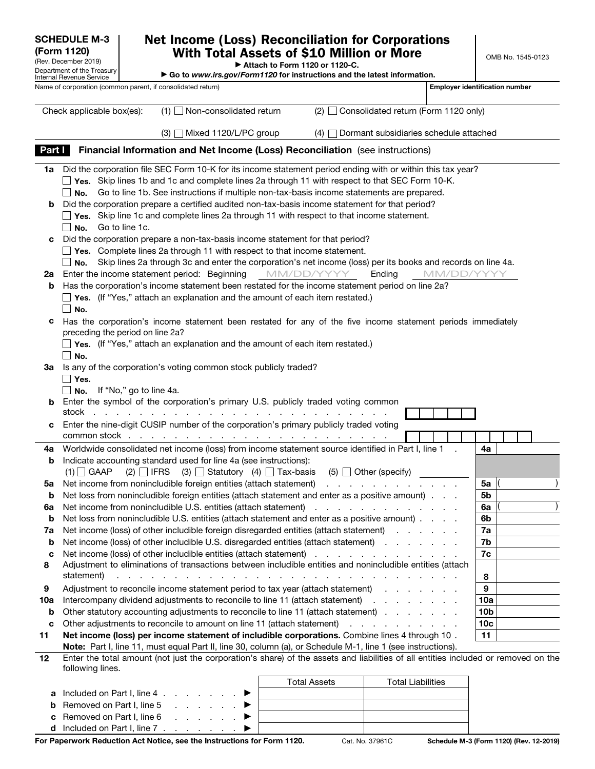| <b>SCHEDULE M-3</b><br>(Form 1120)<br>(Rev. December 2019)<br>Department of the Treasury<br>Internal Revenue Service |                                                                                                                                                                                                                             | <b>Net Income (Loss) Reconciliation for Corporations</b><br>With Total Assets of \$10 Million or More<br>Attach to Form 1120 or 1120-C.<br>Go to www.irs.gov/Form1120 for instructions and the latest information. |        |                     |                                        |            | OMB No. 1545-0123                     |
|----------------------------------------------------------------------------------------------------------------------|-----------------------------------------------------------------------------------------------------------------------------------------------------------------------------------------------------------------------------|--------------------------------------------------------------------------------------------------------------------------------------------------------------------------------------------------------------------|--------|---------------------|----------------------------------------|------------|---------------------------------------|
|                                                                                                                      |                                                                                                                                                                                                                             | Name of corporation (common parent, if consolidated return)                                                                                                                                                        |        |                     |                                        |            | <b>Employer identification number</b> |
|                                                                                                                      | Check applicable box(es):                                                                                                                                                                                                   | $(1)$ Non-consolidated return                                                                                                                                                                                      |        | (2)                 | Consolidated return (Form 1120 only)   |            |                                       |
|                                                                                                                      |                                                                                                                                                                                                                             | □ Mixed 1120/L/PC group<br>(3)                                                                                                                                                                                     |        | (4)                 | Dormant subsidiaries schedule attached |            |                                       |
| Part I                                                                                                               |                                                                                                                                                                                                                             | Financial Information and Net Income (Loss) Reconciliation (see instructions)                                                                                                                                      |        |                     |                                        |            |                                       |
| 1a                                                                                                                   |                                                                                                                                                                                                                             | Did the corporation file SEC Form 10-K for its income statement period ending with or within this tax year?                                                                                                        |        |                     |                                        |            |                                       |
|                                                                                                                      |                                                                                                                                                                                                                             | $\Box$ Yes. Skip lines 1b and 1c and complete lines 2a through 11 with respect to that SEC Form 10-K.                                                                                                              |        |                     |                                        |            |                                       |
|                                                                                                                      | No.<br>$\mathsf{L}$                                                                                                                                                                                                         | Go to line 1b. See instructions if multiple non-tax-basis income statements are prepared.                                                                                                                          |        |                     |                                        |            |                                       |
| b                                                                                                                    |                                                                                                                                                                                                                             | Did the corporation prepare a certified audited non-tax-basis income statement for that period?<br>$\Box$ Yes. Skip line 1c and complete lines 2a through 11 with respect to that income statement.                |        |                     |                                        |            |                                       |
|                                                                                                                      | No.<br>$\Box$                                                                                                                                                                                                               | Go to line 1c.                                                                                                                                                                                                     |        |                     |                                        |            |                                       |
|                                                                                                                      |                                                                                                                                                                                                                             | Did the corporation prepare a non-tax-basis income statement for that period?                                                                                                                                      |        |                     |                                        |            |                                       |
|                                                                                                                      |                                                                                                                                                                                                                             | $\Box$ Yes. Complete lines 2a through 11 with respect to that income statement.                                                                                                                                    |        |                     |                                        |            |                                       |
|                                                                                                                      | ∐ No.                                                                                                                                                                                                                       | Skip lines 2a through 3c and enter the corporation's net income (loss) per its books and records on line 4a.                                                                                                       |        |                     |                                        |            |                                       |
|                                                                                                                      |                                                                                                                                                                                                                             | 2a Enter the income statement period: Beginning                                                                                                                                                                    | MM/DD/ |                     | Ending                                 | MM/DD/YYYY |                                       |
| b                                                                                                                    |                                                                                                                                                                                                                             | Has the corporation's income statement been restated for the income statement period on line 2a?                                                                                                                   |        |                     |                                        |            |                                       |
|                                                                                                                      |                                                                                                                                                                                                                             | $\Box$ Yes. (If "Yes," attach an explanation and the amount of each item restated.)                                                                                                                                |        |                     |                                        |            |                                       |
| C                                                                                                                    | │ No.                                                                                                                                                                                                                       | Has the corporation's income statement been restated for any of the five income statement periods immediately                                                                                                      |        |                     |                                        |            |                                       |
|                                                                                                                      |                                                                                                                                                                                                                             | preceding the period on line 2a?                                                                                                                                                                                   |        |                     |                                        |            |                                       |
|                                                                                                                      |                                                                                                                                                                                                                             | $\Box$ Yes. (If "Yes," attach an explanation and the amount of each item restated.)                                                                                                                                |        |                     |                                        |            |                                       |
|                                                                                                                      | │ No.                                                                                                                                                                                                                       |                                                                                                                                                                                                                    |        |                     |                                        |            |                                       |
| За                                                                                                                   |                                                                                                                                                                                                                             | Is any of the corporation's voting common stock publicly traded?                                                                                                                                                   |        |                     |                                        |            |                                       |
|                                                                                                                      | $\Box$ Yes.                                                                                                                                                                                                                 |                                                                                                                                                                                                                    |        |                     |                                        |            |                                       |
|                                                                                                                      |                                                                                                                                                                                                                             | $\Box$ No. If "No," go to line 4a.                                                                                                                                                                                 |        |                     |                                        |            |                                       |
|                                                                                                                      | stock                                                                                                                                                                                                                       | <b>b</b> Enter the symbol of the corporation's primary U.S. publicly traded voting common                                                                                                                          |        |                     |                                        |            |                                       |
| c                                                                                                                    |                                                                                                                                                                                                                             | Enter the nine-digit CUSIP number of the corporation's primary publicly traded voting                                                                                                                              |        |                     |                                        |            |                                       |
|                                                                                                                      | common stock                                                                                                                                                                                                                |                                                                                                                                                                                                                    |        |                     |                                        |            |                                       |
| 4а                                                                                                                   |                                                                                                                                                                                                                             | Worldwide consolidated net income (loss) from income statement source identified in Part I, line 1                                                                                                                 |        |                     |                                        |            | 4a                                    |
| b                                                                                                                    |                                                                                                                                                                                                                             | Indicate accounting standard used for line 4a (see instructions):                                                                                                                                                  |        |                     |                                        |            |                                       |
|                                                                                                                      | $(1)$ GAAP                                                                                                                                                                                                                  | (2) $\Box$ IFRS (3) $\Box$ Statutory (4) $\Box$ Tax-basis (5) $\Box$ Other (specify)                                                                                                                               |        |                     |                                        |            |                                       |
| ьa                                                                                                                   |                                                                                                                                                                                                                             | Net income from nonincludible foreign entities (attach statement)                                                                                                                                                  |        |                     |                                        |            | 5a                                    |
| b                                                                                                                    | Net loss from nonincludible foreign entities (attach statement and enter as a positive amount).<br>5b                                                                                                                       |                                                                                                                                                                                                                    |        |                     |                                        |            |                                       |
| 6а                                                                                                                   | 6a                                                                                                                                                                                                                          |                                                                                                                                                                                                                    |        |                     |                                        |            |                                       |
| b<br>7a                                                                                                              | Net loss from nonincludible U.S. entities (attach statement and enter as a positive amount).<br>6b                                                                                                                          |                                                                                                                                                                                                                    |        |                     |                                        | 7a         |                                       |
| b                                                                                                                    | Net income (loss) of other includible foreign disregarded entities (attach statement)<br>Net income (loss) of other includible U.S. disregarded entities (attach statement)                                                 |                                                                                                                                                                                                                    |        |                     | 7b                                     |            |                                       |
| c                                                                                                                    | Net income (loss) of other includible entities (attach statement)                                                                                                                                                           |                                                                                                                                                                                                                    |        |                     |                                        | 7c         |                                       |
| 8                                                                                                                    | Adjustment to eliminations of transactions between includible entities and nonincludible entities (attach<br>statement)<br>.<br><b>Contractor</b><br>the second contract of the contract of the contract of the contract of |                                                                                                                                                                                                                    |        |                     |                                        | 8          |                                       |
| 9                                                                                                                    |                                                                                                                                                                                                                             | Adjustment to reconcile income statement period to tax year (attach statement)                                                                                                                                     |        |                     |                                        |            | 9                                     |
| 10a                                                                                                                  | Intercompany dividend adjustments to reconcile to line 11 (attach statement)<br>10a                                                                                                                                         |                                                                                                                                                                                                                    |        |                     |                                        |            |                                       |
| b                                                                                                                    | Other statutory accounting adjustments to reconcile to line 11 (attach statement)<br>10 <sub>b</sub>                                                                                                                        |                                                                                                                                                                                                                    |        |                     |                                        |            |                                       |
| c                                                                                                                    | Other adjustments to reconcile to amount on line 11 (attach statement)<br>10 <sub>c</sub><br>design and a state of the state of                                                                                             |                                                                                                                                                                                                                    |        |                     |                                        |            |                                       |
| 11                                                                                                                   |                                                                                                                                                                                                                             | Net income (loss) per income statement of includible corporations. Combine lines 4 through 10.                                                                                                                     |        |                     |                                        |            | 11                                    |
|                                                                                                                      |                                                                                                                                                                                                                             | Note: Part I, line 11, must equal Part II, line 30, column (a), or Schedule M-1, line 1 (see instructions).                                                                                                        |        |                     |                                        |            |                                       |
| 12                                                                                                                   | Enter the total amount (not just the corporation's share) of the assets and liabilities of all entities included or removed on the<br>following lines.                                                                      |                                                                                                                                                                                                                    |        |                     |                                        |            |                                       |
|                                                                                                                      |                                                                                                                                                                                                                             |                                                                                                                                                                                                                    |        | <b>Total Assets</b> | <b>Total Liabilities</b>               |            |                                       |
| а                                                                                                                    |                                                                                                                                                                                                                             | ▸                                                                                                                                                                                                                  |        |                     |                                        |            |                                       |
| b                                                                                                                    |                                                                                                                                                                                                                             | Removed on Part I, line 5                                                                                                                                                                                          |        |                     |                                        |            |                                       |

| For Paperwork Reduction Act Notice, see the Instructions for Form 1120. | Cat. No. 37961C | Schedule M-3 (Form 1120) (Rev. 12-2019) |
|-------------------------------------------------------------------------|-----------------|-----------------------------------------|
| Included on Part I. line 7                                              |                 |                                         |
| c Removed on Part I, line 6                                             |                 |                                         |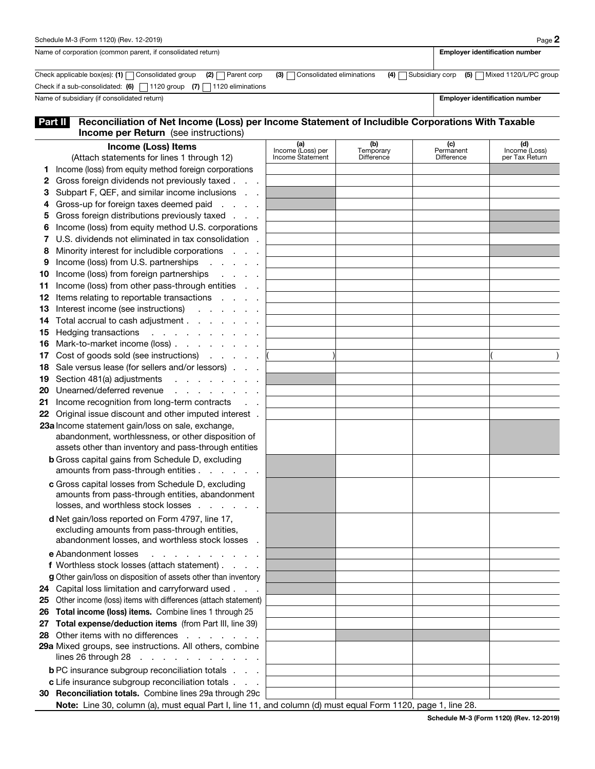|                                                             | Schedule M-3 (Form 1120) (Rev. 12-2019)                                                                                                                    |                               |                  |                   | Page 2                                        |  |  |
|-------------------------------------------------------------|------------------------------------------------------------------------------------------------------------------------------------------------------------|-------------------------------|------------------|-------------------|-----------------------------------------------|--|--|
| Name of corporation (common parent, if consolidated return) |                                                                                                                                                            |                               |                  |                   | <b>Employer identification number</b>         |  |  |
|                                                             | Check applicable box(es): (1) $\Box$ Consolidated group<br>$(2)$ Parent corp                                                                               | (3) Consolidated eliminations |                  |                   | (4) Subsidiary corp (5) Mixed 1120/L/PC group |  |  |
|                                                             | Check if a sub-consolidated: (6) $\Box$ 1120 group (7) $\Box$ 1120 eliminations                                                                            |                               |                  |                   |                                               |  |  |
|                                                             | Name of subsidiary (if consolidated return)                                                                                                                |                               |                  |                   | <b>Employer identification number</b>         |  |  |
|                                                             |                                                                                                                                                            |                               |                  |                   |                                               |  |  |
|                                                             | Reconciliation of Net Income (Loss) per Income Statement of Includible Corporations With Taxable<br>Part II<br><b>Income per Return</b> (see instructions) |                               |                  |                   |                                               |  |  |
|                                                             | <b>Income (Loss) Items</b>                                                                                                                                 | (a)<br>Income (Loss) per      | (b)<br>Temporary | (c)<br>Permanent  | (d)<br>Income (Loss)                          |  |  |
|                                                             | (Attach statements for lines 1 through 12)                                                                                                                 | Income Statement              | Difference       | <b>Difference</b> | per Tax Return                                |  |  |
|                                                             | Income (loss) from equity method foreign corporations                                                                                                      |                               |                  |                   |                                               |  |  |
| 2                                                           | Gross foreign dividends not previously taxed.                                                                                                              |                               |                  |                   |                                               |  |  |
|                                                             | Subpart F, QEF, and similar income inclusions<br>$\sim 100$ $\mu$                                                                                          |                               |                  |                   |                                               |  |  |
|                                                             | Gross-up for foreign taxes deemed paid<br><b>All All Anna</b>                                                                                              |                               |                  |                   |                                               |  |  |
|                                                             | Gross foreign distributions previously taxed                                                                                                               |                               |                  |                   |                                               |  |  |
|                                                             | Income (loss) from equity method U.S. corporations                                                                                                         |                               |                  |                   |                                               |  |  |
|                                                             | U.S. dividends not eliminated in tax consolidation.                                                                                                        |                               |                  |                   |                                               |  |  |
| 8                                                           | Minority interest for includible corporations<br>$\sim 10^{-11}$ .                                                                                         |                               |                  |                   |                                               |  |  |
| 9                                                           | Income (loss) from U.S. partnerships                                                                                                                       |                               |                  |                   |                                               |  |  |
| 10                                                          | Income (loss) from foreign partnerships<br>and a state                                                                                                     |                               |                  |                   |                                               |  |  |
| 11                                                          | Income (loss) from other pass-through entities                                                                                                             |                               |                  |                   |                                               |  |  |
| 12                                                          | Items relating to reportable transactions                                                                                                                  |                               |                  |                   |                                               |  |  |
| 13                                                          | Interest income (see instructions)                                                                                                                         |                               |                  |                   |                                               |  |  |
| 14                                                          | Total accrual to cash adjustment                                                                                                                           |                               |                  |                   |                                               |  |  |
| 15                                                          | Hedging transactions<br>and a straightful contracts                                                                                                        |                               |                  |                   |                                               |  |  |
| 16                                                          | Mark-to-market income (loss)                                                                                                                               |                               |                  |                   |                                               |  |  |
| 17                                                          | Cost of goods sold (see instructions)                                                                                                                      |                               |                  |                   |                                               |  |  |
| 18                                                          | Sale versus lease (for sellers and/or lessors).                                                                                                            |                               |                  |                   |                                               |  |  |
| 19                                                          | Section 481(a) adjustments                                                                                                                                 |                               |                  |                   |                                               |  |  |
| 20                                                          | Unearned/deferred revenue<br>.                                                                                                                             |                               |                  |                   |                                               |  |  |
| 21                                                          | Income recognition from long-term contracts                                                                                                                |                               |                  |                   |                                               |  |  |
|                                                             | 22 Original issue discount and other imputed interest.                                                                                                     |                               |                  |                   |                                               |  |  |
|                                                             | 23a Income statement gain/loss on sale, exchange,                                                                                                          |                               |                  |                   |                                               |  |  |
|                                                             | abandonment, worthlessness, or other disposition of                                                                                                        |                               |                  |                   |                                               |  |  |
|                                                             | assets other than inventory and pass-through entities                                                                                                      |                               |                  |                   |                                               |  |  |
|                                                             | <b>b</b> Gross capital gains from Schedule D, excluding<br>amounts from pass-through entities                                                              |                               |                  |                   |                                               |  |  |
|                                                             | c Gross capital losses from Schedule D, excluding                                                                                                          |                               |                  |                   |                                               |  |  |
|                                                             | amounts from pass-through entities, abandonment                                                                                                            |                               |                  |                   |                                               |  |  |
|                                                             | losses, and worthless stock losses                                                                                                                         |                               |                  |                   |                                               |  |  |
|                                                             | d Net gain/loss reported on Form 4797, line 17,                                                                                                            |                               |                  |                   |                                               |  |  |
|                                                             | excluding amounts from pass-through entities,<br>abandonment losses, and worthless stock losses.                                                           |                               |                  |                   |                                               |  |  |
|                                                             |                                                                                                                                                            |                               |                  |                   |                                               |  |  |
|                                                             | e Abandonment losses                                                                                                                                       |                               |                  |                   |                                               |  |  |
|                                                             | f Worthless stock losses (attach statement)                                                                                                                |                               |                  |                   |                                               |  |  |
|                                                             | g Other gain/loss on disposition of assets other than inventory                                                                                            |                               |                  |                   |                                               |  |  |
|                                                             | 24 Capital loss limitation and carryforward used                                                                                                           |                               |                  |                   |                                               |  |  |
| 25                                                          | Other income (loss) items with differences (attach statement)                                                                                              |                               |                  |                   |                                               |  |  |
| 26<br>27                                                    | Total income (loss) items. Combine lines 1 through 25<br>Total expense/deduction items (from Part III, line 39)                                            |                               |                  |                   |                                               |  |  |
| 28                                                          | Other items with no differences                                                                                                                            |                               |                  |                   |                                               |  |  |
|                                                             | 29a Mixed groups, see instructions. All others, combine                                                                                                    |                               |                  |                   |                                               |  |  |
|                                                             | lines 26 through 28 $\ldots$ $\ldots$ $\ldots$ $\ldots$ $\ldots$                                                                                           |                               |                  |                   |                                               |  |  |
|                                                             | <b>b</b> PC insurance subgroup reconciliation totals                                                                                                       |                               |                  |                   |                                               |  |  |
|                                                             | c Life insurance subgroup reconciliation totals                                                                                                            |                               |                  |                   |                                               |  |  |
|                                                             | 30 Reconciliation totals. Combine lines 29a through 29c                                                                                                    |                               |                  |                   |                                               |  |  |
|                                                             | Line 20, ealumn (a) must equal Dart Lline 11, and ealumn (d) must equal Farm 1120, nego 1, line 20                                                         |                               |                  |                   |                                               |  |  |

Note: Line 30, column (a), must equal Part I, line 11, and column (d) must equal Form 1120, page 1, line 28.